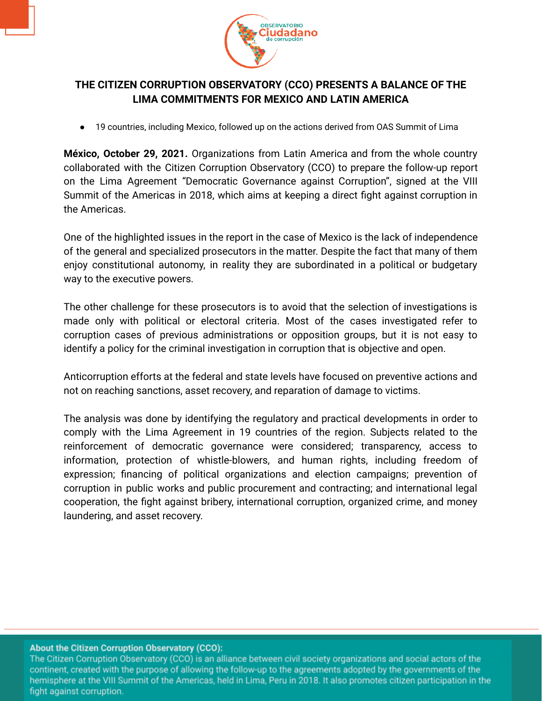

## **THE CITIZEN CORRUPTION OBSERVATORY (CCO) PRESENTS A BALANCE OF THE LIMA COMMITMENTS FOR MEXICO AND LATIN AMERICA**

19 countries, including Mexico, followed up on the actions derived from OAS Summit of Lima

**México, October 29, 2021.** Organizations from Latin America and from the whole country collaborated with the Citizen Corruption Observatory (CCO) to prepare the follow-up report on the Lima Agreement "Democratic Governance against Corruption", signed at the VIII Summit of the Americas in 2018, which aims at keeping a direct fight against corruption in the Americas.

One of the highlighted issues in the report in the case of Mexico is the lack of independence of the general and specialized prosecutors in the matter. Despite the fact that many of them enjoy constitutional autonomy, in reality they are subordinated in a political or budgetary way to the executive powers.

The other challenge for these prosecutors is to avoid that the selection of investigations is made only with political or electoral criteria. Most of the cases investigated refer to corruption cases of previous administrations or opposition groups, but it is not easy to identify a policy for the criminal investigation in corruption that is objective and open.

Anticorruption efforts at the federal and state levels have focused on preventive actions and not on reaching sanctions, asset recovery, and reparation of damage to victims.

The analysis was done by identifying the regulatory and practical developments in order to comply with the Lima Agreement in 19 countries of the region. Subjects related to the reinforcement of democratic governance were considered; transparency, access to information, protection of whistle-blowers, and human rights, including freedom of expression; financing of political organizations and election campaigns; prevention of corruption in public works and public procurement and contracting; and international legal cooperation, the fight against bribery, international corruption, organized crime, and money laundering, and asset recovery.

## About the Citizen Corruption Observatory (CCO):

The Citizen Corruption Observatory (CCO) is an alliance between civil society organizations and social actors of the continent, created with the purpose of allowing the follow-up to the agreements adopted by the governments of the hemisphere at the VIII Summit of the Americas, held in Lima, Peru in 2018. It also promotes citizen participation in the fight against corruption.